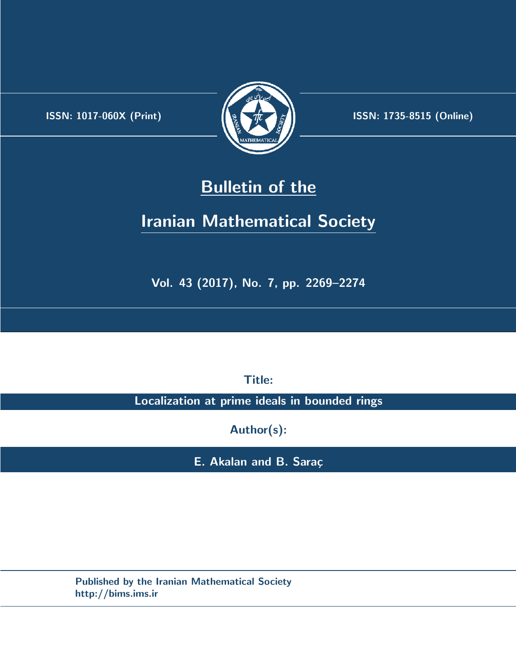.



**ISSN:** 1017-060X (Print)  $\left| \left( \frac{1}{2} \sum \frac{1}{k} \right) \right|$  **ISSN:** 1735-8515 (Online)

## **Bulletin of the**

# **Iranian Mathematical Society**

**Vol. 43 (2017), No. 7, pp. 2269–2274**

**Title:**

**Localization at prime ideals in bounded rings**

**Author(s):**

**E. Akalan and B. Saraç** 

**Published by the Iranian Mathematical Society http://bims.ims.ir**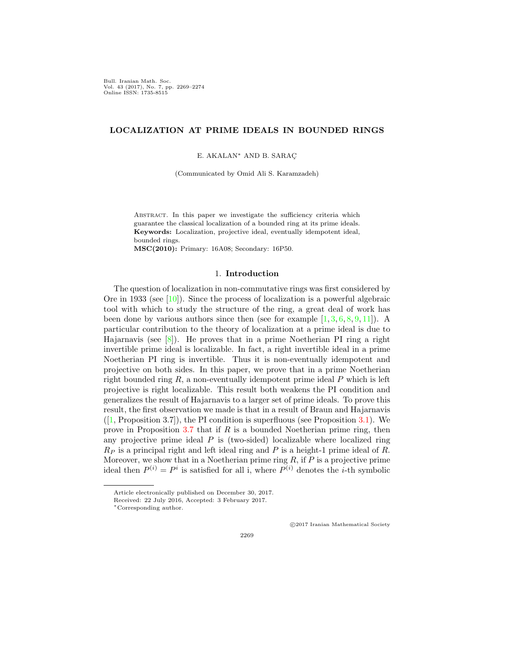Bull. Iranian Math. Soc. Vol. 43 (2017), No. 7, pp. 2269–2274 Online ISSN: 1735-8515

## **LOCALIZATION AT PRIME IDEALS IN BOUNDED RINGS**

E. AKALAN*∗* AND B. SARAC¸

(Communicated by Omid Ali S. Karamzadeh)

Abstract. In this paper we investigate the sufficiency criteria which guarantee the classical localization of a bounded ring at its prime ideals. **Keywords:** Localization, projective ideal, eventually idempotent ideal, bounded rings.

**MSC(2010):** Primary: 16A08; Secondary: 16P50.

### 1. **Introduction**

The question of localization in non-commutative rings was first considered by Ore in 1933 (see  $[10]$  $[10]$ ). Since the process of localization is a powerful algebraic tool with which to study the structure of the ring, a great deal of work has been done by various authors since then (see for example  $[1, 3, 6, 8, 9, 11]$  $[1, 3, 6, 8, 9, 11]$  $[1, 3, 6, 8, 9, 11]$  $[1, 3, 6, 8, 9, 11]$  $[1, 3, 6, 8, 9, 11]$  $[1, 3, 6, 8, 9, 11]$  $[1, 3, 6, 8, 9, 11]$  $[1, 3, 6, 8, 9, 11]$  $[1, 3, 6, 8, 9, 11]$  $[1, 3, 6, 8, 9, 11]$  $[1, 3, 6, 8, 9, 11]$  $[1, 3, 6, 8, 9, 11]$  $[1, 3, 6, 8, 9, 11]$ ). A particular contribution to the theory of localization at a prime ideal is due to Hajarnavis (see  $[8]$  $[8]$ ). He proves that in a prime Noetherian PI ring a right invertible prime ideal is localizable. In fact, a right invertible ideal in a prime Noetherian PI ring is invertible. Thus it is non-eventually idempotent and projective on both sides. In this paper, we prove that in a prime Noetherian right bounded ring *R*, a non-eventually idempotent prime ideal *P* which is left projective is right localizable. This result both weakens the PI condition and generalizes the result of Hajarnavis to a larger set of prime ideals. To prove this result, the first observation we made is that in a result of Braun and Hajarnavis  $([1, Proposition 3.7])$  $([1, Proposition 3.7])$  $([1, Proposition 3.7])$ , the PI condition is superfluous (see Proposition [3.1](#page-3-0)). We prove in Proposition [3.7](#page-5-0) that if *R* is a bounded Noetherian prime ring, then any projective prime ideal  $P$  is (two-sided) localizable where localized ring *R<sup>P</sup>* is a principal right and left ideal ring and *P* is a height-1 prime ideal of *R*. Moreover, we show that in a Noetherian prime ring *R*, if *P* is a projective prime ideal then  $P^{(i)} = P^i$  is satisfied for all i, where  $P^{(i)}$  denotes the *i*-th symbolic

*⃝*c 2017 Iranian Mathematical Society

Article electronically published on December 30, 2017.

Received: 22 July 2016, Accepted: 3 February 2017.

*<sup>∗</sup>*Corresponding author.

<sup>2269</sup>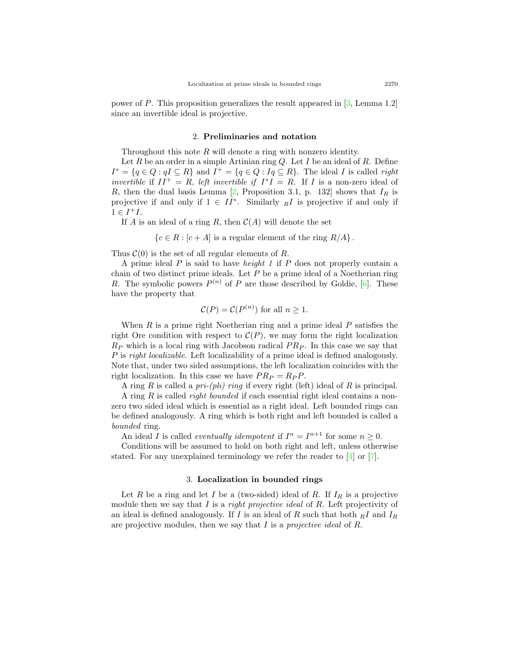power of *P*. This proposition generalizes the result appeared in [[3,](#page-6-2) Lemma 1.2] since an invertible ideal is projective.

#### 2. **Preliminaries and notation**

Throughout this note *R* will denote a ring with nonzero identity.

Let *R* be an order in a simple Artinian ring *Q*. Let *I* be an ideal of *R*. Define  $I^* = \{q \in Q : qI \subseteq R\}$  and  $I^+ = \{q \in Q : Iq \subseteq R\}$ . The ideal I is called right *invertible* if  $II^+ = R$ , *left invertible if*  $I^*I = R$ . If *I* is a non-zero ideal of *R*, then the dual basis Lemma [[2,](#page-6-7) Proposition 3.1, p. 132] shows that  $I_R$  is projective if and only if  $1 \in II^*$ . Similarly  $\overline{R}I$  is projective if and only if  $1 \in I^{+}I$ .

If *A* is an ideal of a ring *R*, then  $C(A)$  will denote the set

 ${c \in R : [c + A]$  is a regular element of the ring  $R/A$ .

Thus  $\mathcal{C}(0)$  is the set of all regular elements of *R*.

A prime ideal *P* is said to have *height 1* if *P* does not properly contain a chain of two distinct prime ideals. Let *P* be a prime ideal of a Noetherian ring *R*. The symbolic powers  $P^{(n)}$  of *P* are those described by Goldie, [[6\]](#page-6-3). These have the property that

$$
\mathcal{C}(P) = \mathcal{C}(P^{(n)})
$$
 for all  $n \ge 1$ .

When *R* is a prime right Noetherian ring and a prime ideal *P* satisfies the right Ore condition with respect to  $\mathcal{C}(P)$ , we may form the right localization *R<sup>P</sup>* which is a local ring with Jacobson radical *P R<sup>P</sup>* . In this case we say that *P* is *right localizable*. Left localizability of a prime ideal is defined analogously. Note that, under two sided assumptions, the left localization coincides with the right localization. In this case we have  $PR_P = R_P P$ .

A ring *R* is called a *pri-(pli) ring* if every right (left) ideal of *R* is principal.

A ring *R* is called *right bounded* if each essential right ideal contains a nonzero two sided ideal which is essential as a right ideal. Left bounded rings can be defined analogously. A ring which is both right and left bounded is called a *bounded* ring.

An ideal *I* is called *eventually idempotent* if  $I^n = I^{n+1}$  for some  $n \geq 0$ .

Conditions will be assumed to hold on both right and left, unless otherwise stated. For any unexplained terminology we refer the reader to [[4\]](#page-6-8) or [[7\]](#page-6-9).

#### 3. **Localization in bounded rings**

Let *R* be a ring and let *I* be a (two-sided) ideal of *R*. If  $I_R$  is a projective module then we say that *I* is a *right projective ideal* of *R*. Left projectivity of an ideal is defined analogously. If *I* is an ideal of *R* such that both *<sup>R</sup>I* and *I<sup>R</sup>* are projective modules, then we say that *I* is a *projective ideal* of *R*.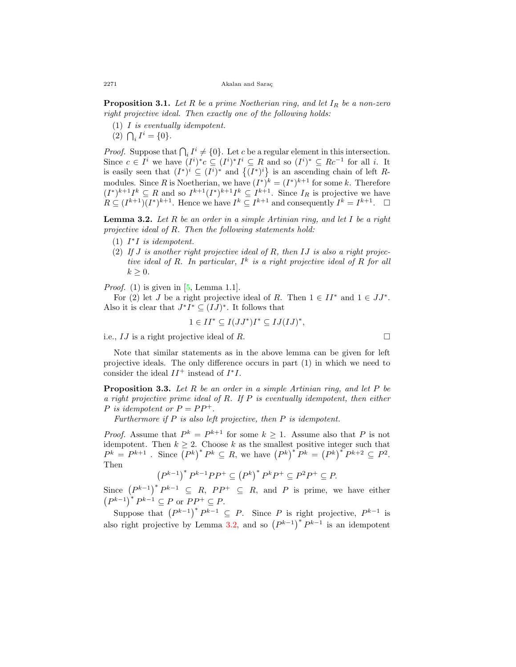<span id="page-3-0"></span>**Proposition 3.1.** *Let R be a prime Noetherian ring, and let I<sup>R</sup> be a non-zero right projective ideal. Then exactly one of the following holds:*

- (1) *I is eventually idempotent.*
- $(2)$   $\bigcap_i I^i = \{0\}.$

*Proof.* Suppose that  $\bigcap_i I^i \neq \{0\}$ . Let *c* be a regular element in this intersection. Since  $c \in I^i$  we have  $(I^i)^*c \subseteq (I^i)^*I^i \subseteq R$  and so  $(I^i)^* \subseteq Rc^{-1}$  for all i. It is easily seen that  $(I^*)^i \subseteq (I^i)^*$  and  $\{(I^*)^i\}$  is an ascending chain of left *R*modules. Since *R* is Noetherian, we have  $(I^*)^k = (I^*)^{k+1}$  for some *k*. Therefore  $(I^*)^{k+1}I^k \subseteq R$  and so  $I^{k+1}(I^*)^{k+1}I^k \subseteq I^{k+1}$ . Since  $I_R$  is projective we have  $R \subseteq (I^{k+1})(I^*)^{k+1}$ . Hence we have  $I^k \subseteq I^{k+1}$  and consequently  $I^k = I^{k+1}$ .  $\Box$ 

<span id="page-3-1"></span>**Lemma 3.2.** *Let R be an order in a simple Artinian ring, and let I be a right projective ideal of R. Then the following statements hold:*

- $(1)$   $I^*I$  *is idempotent.*
- (2) *If J is another right projective ideal of R, then IJ is also a right projective ideal of R. In particular, I k is a right projective ideal of R for all*  $k \geq 0$ .

*Proof.* (1) is given in  $[5, \text{Lemma 1.1}].$  $[5, \text{Lemma 1.1}].$  $[5, \text{Lemma 1.1}].$ 

For (2) let *J* be a right projective ideal of *R*. Then  $1 \in II^*$  and  $1 \in JJ^*$ . Also it is clear that  $J^*I^* \subseteq (IJ)^*$ . It follows that

$$
1 \in II^* \subseteq I(JJ^*)I^* \subseteq IJ(IJ)^*,
$$

i.e.,  $IJ$  is a right projective ideal of  $R$ .

Note that similar statements as in the above lemma can be given for left projective ideals. The only difference occurs in part (1) in which we need to consider the ideal  $II^+$  instead of  $I^*I$ .

<span id="page-3-2"></span>**Proposition 3.3.** *Let R be an order in a simple Artinian ring, and let P be a right projective prime ideal of R. If P is eventually idempotent, then either P* is idempotent or  $P = PP^+$ .

*Furthermore if P is also left projective, then P is idempotent.*

*Proof.* Assume that  $P^k = P^{k+1}$  for some  $k \geq 1$ . Assume also that P is not idempotent. Then  $k \geq 2$ . Choose  $k$  as the smallest positive integer such that  $P^{k} = P^{k+1}$ . Since  $(P^{k})^* P^{k} \subseteq R$ , we have  $(P^{k})^* P^{k} = (P^{k})^* P^{k+2} \subseteq P^2$ . Then

$$
\left(P^{k-1}\right)^*P^{k-1}PP^+\subseteq \left(P^{k}\right)^*P^kP^+\subseteq P^2P^+\subseteq P.
$$

Since  $(P^{k-1})^* P^{k-1} \subseteq R$ ,  $PP^+ \subseteq R$ , and *P* is prime, we have either  $(P^{k-1})^* P^{k-1} \subseteq P$  or  $PP^+ \subseteq P$ .

Suppose that  $(P^{k-1})^* P^{k-1} \subseteq P$ . Since *P* is right projective,  $P^{k-1}$  is also right projective by Lemma [3.2](#page-3-1), and so  $(P^{k-1})^* P^{k-1}$  is an idempotent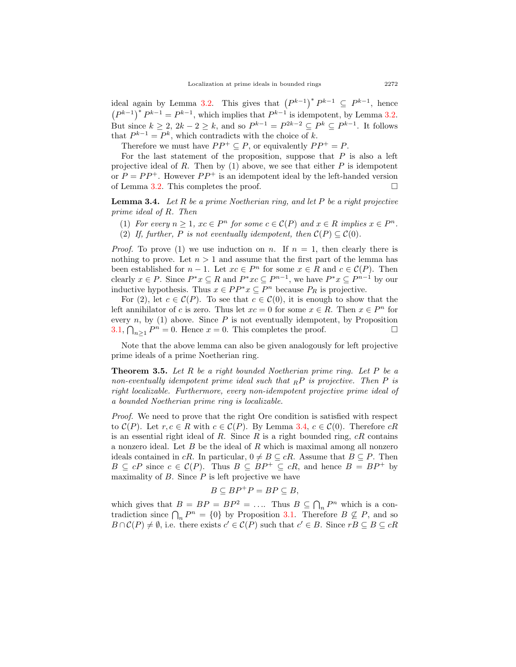ideal again by Lemma [3.2](#page-3-1). This gives that  $(P^{k-1})^* P^{k-1} \subseteq P^{k-1}$ , hence  $(P^{k-1})^* P^{k-1} = P^{k-1}$ , which implies that  $P^{k-1}$  is idempotent, by Lemma [3.2](#page-3-1). But since  $k \geq 2$ ,  $2k - 2 \geq k$ , and so  $P^{k-1} = P^{2k-2} \subseteq P^k \subseteq P^{k-1}$ . It follows that  $P^{k-1} = P^k$ , which contradicts with the choice of *k*.

Therefore we must have  $PP^+ \subseteq P$ , or equivalently  $PP^+ = P$ .

For the last statement of the proposition, suppose that *P* is also a left projective ideal of *R*. Then by (1) above, we see that either *P* is idempotent or  $P = PP^+$ . However  $PP^+$  is an idempotent ideal by the left-handed version of Lemma [3.2.](#page-3-1) This completes the proof.  $\Box$ 

<span id="page-4-0"></span>**Lemma 3.4.** *Let R be a prime Noetherian ring, and let P be a right projective prime ideal of R. Then*

- (1) For every  $n \geq 1$ ,  $xc \in P^n$  for some  $c \in \mathcal{C}(P)$  and  $x \in R$  implies  $x \in P^n$ .
- (2) If, further, P is not eventually idempotent, then  $\mathcal{C}(P) \subseteq \mathcal{C}(0)$ .

*Proof.* To prove (1) we use induction on *n*. If  $n = 1$ , then clearly there is nothing to prove. Let  $n > 1$  and assume that the first part of the lemma has been established for  $n-1$ . Let  $xc \in P^n$  for some  $x \in R$  and  $c \in C(P)$ . Then clearly  $x \in P$ . Since  $P^*x \subseteq R$  and  $P^*xc \subseteq P^{n-1}$ , we have  $P^*x \subseteq P^{n-1}$  by our inductive hypothesis. Thus  $x \in PP^*x \subseteq P^n$  because  $P_R$  is projective.

For (2), let  $c \in \mathcal{C}(P)$ . To see that  $c \in \mathcal{C}(0)$ , it is enough to show that the left annihilator of *c* is zero. Thus let  $xc = 0$  for some  $x \in R$ . Then  $x \in P<sup>n</sup>$  for every  $n$ , by  $(1)$  above. Since  $P$  is not eventually idempotent, by Proposition [3.1,](#page-3-0)  $\bigcap_{n\geq 1} P^n = 0$ . Hence  $x = 0$ . This completes the proof. □

Note that the above lemma can also be given analogously for left projective prime ideals of a prime Noetherian ring.

**Theorem 3.5.** *Let R be a right bounded Noetherian prime ring. Let P be a non-eventually idempotent prime ideal such that <sup>R</sup>P is projective. Then P is right localizable. Furthermore, every non-idempotent projective prime ideal of a bounded Noetherian prime ring is localizable.*

*Proof.* We need to prove that the right Ore condition is satisfied with respect to  $\mathcal{C}(P)$ . Let  $r, c \in R$  with  $c \in \mathcal{C}(P)$ . By Lemma [3.4](#page-4-0),  $c \in \mathcal{C}(0)$ . Therefore  $cR$ is an essential right ideal of *R*. Since *R* is a right bounded ring, *cR* contains a nonzero ideal. Let *B* be the ideal of *R* which is maximal among all nonzero ideals contained in *cR*. In particular,  $0 \neq B \subseteq cR$ . Assume that  $B \subseteq P$ . Then  $B \subseteq cP$  since  $c \in \mathcal{C}(P)$ . Thus  $B \subseteq BP^+ \subseteq cR$ , and hence  $B = BP^+$  by maximality of  $B$ . Since  $P$  is left projective we have

$$
B\subseteq BP^+P=BP\subseteq B,
$$

which gives that  $B = BP = BP^2 = \dots$  Thus  $B \subseteq \bigcap_n P^n$  which is a contradiction since  $\bigcap_n P^n = \{0\}$  by Proposition [3.1](#page-3-0). Therefore  $B \nsubseteq P$ , and so  $B \cap C(P) \neq \emptyset$ , i.e. there exists  $c' \in C(P)$  such that  $c' \in B$ . Since  $rB \subseteq B \subseteq cR$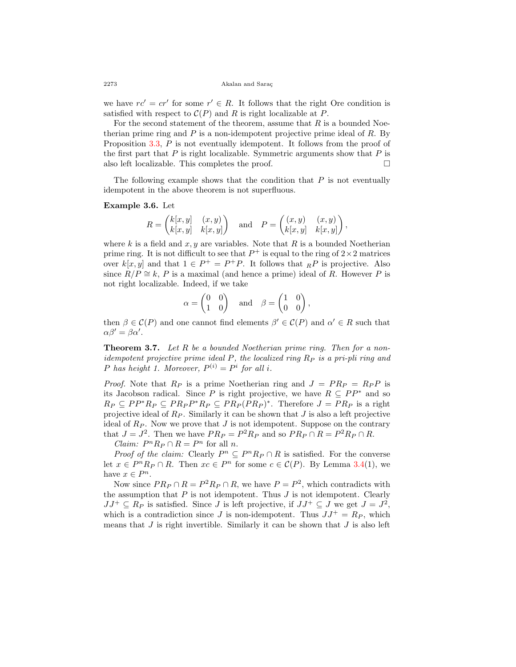we have  $rc' = cr'$  for some  $r' \in R$ . It follows that the right Ore condition is satisfied with respect to  $\mathcal{C}(P)$  and R is right localizable at P.

For the second statement of the theorem, assume that *R* is a bounded Noetherian prime ring and *P* is a non-idempotent projective prime ideal of *R*. By Proposition [3.3,](#page-3-2) P is not eventually idempotent. It follows from the proof of the first part that *P* is right localizable. Symmetric arguments show that *P* is also left localizable. This completes the proof.  $\Box$ 

The following example shows that the condition that *P* is not eventually idempotent in the above theorem is not superfluous.

#### **Example 3.6.** Let

$$
R = \begin{pmatrix} k[x,y] & (x,y) \\ k[x,y] & k[x,y] \end{pmatrix} \quad \text{and} \quad P = \begin{pmatrix} (x,y) & (x,y) \\ k[x,y] & k[x,y] \end{pmatrix},
$$

where  $k$  is a field and  $x, y$  are variables. Note that  $R$  is a bounded Noetherian prime ring. It is not difficult to see that  $P^+$  is equal to the ring of  $2 \times 2$  matrices over  $k[x, y]$  and that  $1 \in P^+ = P^+P$ . It follows that  $iR P$  is projective. Also since  $R/P \cong k$ , *P* is a maximal (and hence a prime) ideal of *R*. However *P* is not right localizable. Indeed, if we take

$$
\alpha = \begin{pmatrix} 0 & 0 \\ 1 & 0 \end{pmatrix} \quad \text{and} \quad \beta = \begin{pmatrix} 1 & 0 \\ 0 & 0 \end{pmatrix},
$$

then  $\beta \in \mathcal{C}(P)$  and one cannot find elements  $\beta' \in \mathcal{C}(P)$  and  $\alpha' \in R$  such that  $\alpha\beta' = \beta\alpha'$ .

<span id="page-5-0"></span>**Theorem 3.7.** *Let R be a bounded Noetherian prime ring. Then for a nonidempotent projective prime ideal P, the localized ring R<sup>P</sup> is a pri-pli ring and P* has height 1. Moreover,  $P^{(i)} = P^i$  for all *i*.

*Proof.* Note that  $R_P$  is a prime Noetherian ring and  $J = PR_P = R_P P$  is its Jacobson radical. Since *P* is right projective, we have  $R \subseteq PP^*$  and so  $R_P \subseteq PP^*R_P \subseteq PR_PP^*R_P \subseteq PR_P(PR_P)^*$ . Therefore  $J = PR_P$  is a right projective ideal of *R<sup>P</sup>* . Similarly it can be shown that *J* is also a left projective ideal of  $R_P$ . Now we prove that  $J$  is not idempotent. Suppose on the contrary that  $J = J^2$ . Then we have  $PR_P = P^2 R_P$  and so  $PR_P \cap R = P^2 R_P \cap R$ .

*Claim:*  $P^n R_P \cap R = P^n$  for all *n*.

*Proof of the claim:* Clearly  $P^n \subseteq P^n R_P \cap R$  is satisfied. For the converse let  $x \in P^n R_P \cap R$ . Then  $xc \in P^n$  for some  $c \in C(P)$ . By Lemma [3.4\(](#page-4-0)1), we have  $x \in P^n$ .

Now since  $PR_P \cap R = P^2 R_P \cap R$ , we have  $P = P^2$ , which contradicts with the assumption that  $P$  is not idempotent. Thus  $J$  is not idempotent. Clearly  $JJ^+ \subseteq R_P$  is satisfied. Since *J* is left projective, if  $JJ^+ \subseteq J$  we get  $J = J^2$ , which is a contradiction since *J* is non-idempotent. Thus  $JJ^+=R_P$ , which means that *J* is right invertible. Similarly it can be shown that *J* is also left